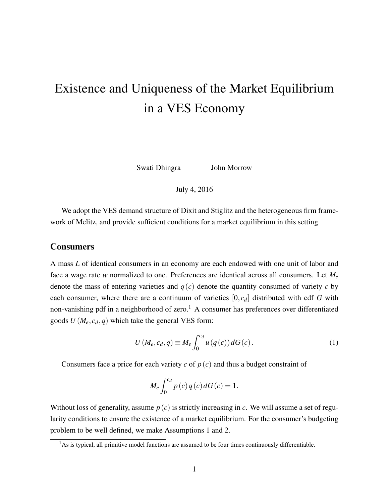# <span id="page-0-0"></span>Existence and Uniqueness of the Market Equilibrium in a VES Economy

Swati Dhingra John Morrow

July 4, 2016

We adopt the VES demand structure of Dixit and Stiglitz and the heterogeneous firm framework of Melitz, and provide sufficient conditions for a market equilibrium in this setting.

### Consumers

A mass *L* of identical consumers in an economy are each endowed with one unit of labor and face a wage rate *w* normalized to one. Preferences are identical across all consumers. Let *M<sup>e</sup>* denote the mass of entering varieties and  $q(c)$  denote the quantity consumed of variety c by each consumer, where there are a continuum of varieties [0, *cd*] distributed with cdf *G* with non-vanishing pdf in a neighborhood of zero.<sup>1</sup> A consumer has preferences over differentiated goods  $U(M_e, c_d, q)$  which take the general VES form:

$$
U(M_e, c_d, q) \equiv M_e \int_0^{c_d} u(q(c)) dG(c).
$$
 (1)

Consumers face a price for each variety  $c$  of  $p(c)$  and thus a budget constraint of

$$
M_e \int_0^{c_d} p(c) q(c) dG(c) = 1.
$$

Without loss of generality, assume  $p(c)$  is strictly increasing in *c*. We will assume a set of regularity conditions to ensure the existence of a market equilibrium. For the consumer's budgeting problem to be well defined, we make Assumptions [1](#page-1-0) and [2.](#page-1-1)

 $<sup>1</sup>$ As is typical, all primitive model functions are assumed to be four times continuously differentiable.</sup>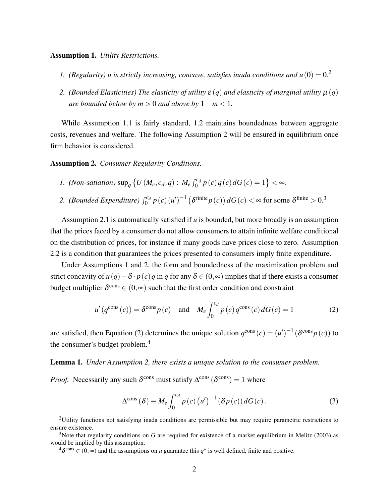#### <span id="page-1-0"></span>Assumption 1. *Utility Restrictions.*

- *1.* (Regularity) u is strictly increasing, concave, satisfies inada conditions and  $u(0) = 0$ .
- *2. (Bounded Elasticities) The elasticity of utility*  $\varepsilon(q)$  *and elasticity of marginal utility*  $\mu(q)$ *are bounded below by*  $m > 0$  *and above by*  $1 - m < 1$ *.*

While Assumption [1.](#page-1-0)1 is fairly standard, [1.](#page-1-0)2 maintains boundedness between aggregate costs, revenues and welfare. The following Assumption [2](#page-1-1) will be ensured in equilibrium once firm behavior is considered.

<span id="page-1-1"></span>Assumption 2. *Consumer Regularity Conditions.*

1. (Non-satiation) sup<sub>q</sub> 
$$
\{U(M_e, c_d, q): M_e \int_0^{c_d} p(c) q(c) dG(c) = 1\} < \infty.
$$

2. (*Bounded Expenditure*)  $\int_0^{c_d} p(c) (u')^{-1} (\delta^{\text{finite}} p(c)) dG(c) < \infty$  for some  $\delta^{\text{finite}} > 0.3$  $\delta^{\text{finite}} > 0.3$ 

Assumption [2.](#page-1-1)1 is automatically satisfied if *u* is bounded, but more broadly is an assumption that the prices faced by a consumer do not allow consumers to attain infinite welfare conditional on the distribution of prices, for instance if many goods have prices close to zero. Assumption [2.](#page-1-1)2 is a condition that guarantees the prices presented to consumers imply finite expenditure.

Under Assumptions [1](#page-1-0) and [2,](#page-1-1) the form and boundedness of the maximization problem and strict concavity of  $u(q) - \delta \cdot p(c) q$  in q for any  $\delta \in (0, \infty)$  implies that if there exists a consumer budget multiplier  $\delta^{\text{cons}} \in (0,\infty)$  such that the first order condition and constraint

$$
u'(q^{\text{cons}}(c)) = \delta^{\text{cons}} p(c) \quad \text{and} \quad M_e \int_0^{c_d} p(c) q^{\text{cons}}(c) dG(c) = 1 \tag{2}
$$

are satisfied, then Equation [\(2\)](#page-1-2) determines the unique solution  $q^{\text{cons}}(c) = (u')^{-1} (\delta^{\text{cons}} p(c))$  to the consumer's budget problem.[4](#page-0-0)

#### Lemma 1. *Under Assumption [2,](#page-1-1) there exists a unique solution to the consumer problem.*

*Proof.* Necessarily any such  $\delta^{\text{cons}}$  must satisfy  $\Delta^{\text{cons}}$  ( $\delta^{\text{cons}}$ ) = 1 where

<span id="page-1-3"></span><span id="page-1-2"></span>
$$
\Delta^{\text{cons}}\left(\delta\right) \equiv M_e \int_0^{c_d} p\left(c\right) \left(u'\right)^{-1} \left(\delta p\left(c\right)\right) dG\left(c\right). \tag{3}
$$

<sup>2</sup>Utility functions not satisfying inada conditions are permissible but may require parametric restrictions to ensure existence.

<sup>&</sup>lt;sup>3</sup>Note that regularity conditions on *G* are required for existence of a market equilibrium in [Melitz](#page-4-0) [\(2003\)](#page-4-0) as would be implied by this assumption.

<sup>&</sup>lt;sup>4</sup> $\delta^{\text{cons}} \in (0, \infty)$  and the assumptions on *u* guarantee this  $q^*$  is well defined, finite and positive.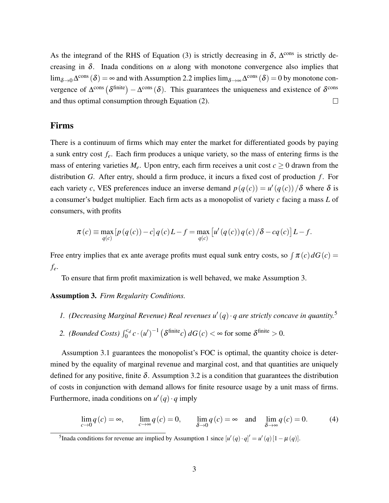As the integrand of the RHS of Equation [\(3\)](#page-1-3) is strictly decreasing in  $\delta$ ,  $\Delta^{\text{cons}}$  is strictly decreasing in  $\delta$ . Inada conditions on *u* along with monotone convergence also implies that  $\lim_{\delta \to 0} \Delta^{\text{cons}}(\delta) = \infty$  and with Assumption [2.](#page-1-1)2 implies  $\lim_{\delta \to \infty} \Delta^{\text{cons}}(\delta) = 0$  by monotone convergence of  $\Delta^{\text{cons}}$  ( $\delta^{\text{finite}}$ ) –  $\Delta^{\text{cons}}$  ( $\delta$ ). This guarantees the uniqueness and existence of  $\delta^{\text{cons}}$ and thus optimal consumption through Equation [\(2\)](#page-1-2).  $\Box$ 

## Firms

There is a continuum of firms which may enter the market for differentiated goods by paying a sunk entry cost *fe*. Each firm produces a unique variety, so the mass of entering firms is the mass of entering varieties  $M_e$ . Upon entry, each firm receives a unit cost  $c \geq 0$  drawn from the distribution *G*. After entry, should a firm produce, it incurs a fixed cost of production *f* . For each variety *c*, VES preferences induce an inverse demand  $p(q(c)) = u'(q(c))/\delta$  where  $\delta$  is a consumer's budget multiplier. Each firm acts as a monopolist of variety *c* facing a mass *L* of consumers, with profits

$$
\pi(c) \equiv \max_{q(c)} \left[ p(q(c)) - c \right] q(c) L - f = \max_{q(c)} \left[ u'(q(c)) q(c) / \delta - cq(c) \right] L - f.
$$

Free entry implies that ex ante average profits must equal sunk entry costs, so  $\int \pi(c) dG(c)$ *fe*.

To ensure that firm profit maximization is well behaved, we make Assumption [3.](#page-2-0)

<span id="page-2-0"></span>Assumption 3. *Firm Regularity Conditions.*

- 1. (Decreasing Marginal Revenue) Real revenues  $u'(q) \cdot q$  are strictly concave in quantity.<sup>[5](#page-0-0)</sup>
- 2. *(Bounded Costs)*  $\int_0^{c_d} c \cdot (u')^{-1} (\delta^{\text{finite}} c) dG(c) < \infty$  for some  $\delta^{\text{finite}} > 0$ .

Assumption [3.](#page-2-0)1 guarantees the monopolist's FOC is optimal, the quantity choice is determined by the equality of marginal revenue and marginal cost, and that quantities are uniquely defined for any positive, finite  $\delta$ . Assumption [3.](#page-2-0)2 is a condition that guarantees the distribution of costs in conjunction with demand allows for finite resource usage by a unit mass of firms. Furthermore, inada conditions on  $u'(q) \cdot q$  imply

<span id="page-2-1"></span>
$$
\lim_{c \to 0} q(c) = \infty, \qquad \lim_{c \to \infty} q(c) = 0, \qquad \lim_{\delta \to 0} q(c) = \infty \quad \text{and} \quad \lim_{\delta \to \infty} q(c) = 0. \tag{4}
$$

<sup>5</sup>Inada conditions for revenue are implied by Assumption [1](#page-1-0) since  $[u'(q) \cdot q]' = u'(q)[1 - \mu(q)].$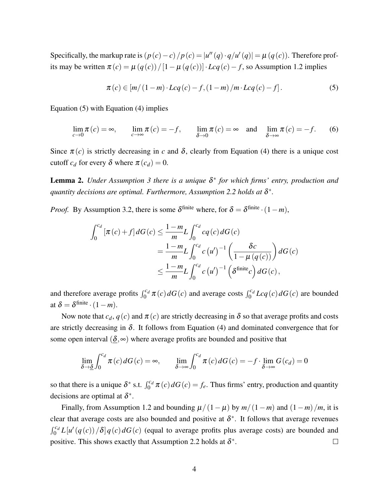Specifically, the markup rate is  $(p(c) - c)/p(c) = |u''(q) \cdot q/u'(q)| = \mu(q(c))$ . Therefore profits may be written  $\pi(c) = \mu(q(c))/[1 - \mu(q(c))] \cdot Lcq(c) - f$ , so Assumption [1.](#page-1-0)2 implies

<span id="page-3-0"></span>
$$
\pi(c) \in [m/(1-m) \cdot Lcq(c) - f, (1-m)/m \cdot Lcq(c) - f]. \tag{5}
$$

Equation [\(5\)](#page-3-0) with Equation [\(4\)](#page-2-1) implies

$$
\lim_{c \to 0} \pi(c) = \infty, \qquad \lim_{c \to \infty} \pi(c) = -f, \qquad \lim_{\delta \to 0} \pi(c) = \infty \quad \text{and} \quad \lim_{\delta \to \infty} \pi(c) = -f. \tag{6}
$$

Since  $\pi(c)$  is strictly decreasing in *c* and  $\delta$ , clearly from Equation [\(4\)](#page-2-1) there is a unique cost cutoff  $c_d$  for every  $\delta$  where  $\pi(c_d) = 0$ .

Lemma 2. *Under Assumption [3](#page-2-0) there is a unique* δ ∗ *for which firms' entry, production and* quantity decisions are optimal. Furthermore, Assumption [2.](#page-1-1)2 holds at  $\delta^*$ .

*Proof.* By Assumption [3.](#page-2-0)2, there is some  $\delta^{\text{finite}}$  where, for  $\delta = \delta^{\text{finite}} \cdot (1 - m)$ ,

$$
\int_0^{c_d} \left[ \pi(c) + f \right] dG(c) \le \frac{1 - m}{m} L \int_0^{c_d} c q(c) dG(c)
$$
  
= 
$$
\frac{1 - m}{m} L \int_0^{c_d} c (u')^{-1} \left( \frac{\delta c}{1 - \mu (q(c))} \right) dG(c)
$$
  

$$
\le \frac{1 - m}{m} L \int_0^{c_d} c (u')^{-1} \left( \delta^{\text{finite}} c \right) dG(c),
$$

and therefore average profits  $\int_0^{c_d} \pi(c) dG(c)$  and average costs  $\int_0^{c_d} Lcq(c) dG(c)$  are bounded at  $\delta = \delta^{\text{finite}} \cdot (1-m)$ .

Now note that  $c_d$ ,  $q(c)$  and  $\pi(c)$  are strictly decreasing in  $\delta$  so that average profits and costs are strictly decreasing in  $\delta$ . It follows from Equation [\(4\)](#page-2-1) and dominated convergence that for some open interval ( $\delta$ , $\infty$ ) where average profits are bounded and positive that

$$
\lim_{\delta \to \underline{\delta}} \int_0^{c_d} \pi(c) dG(c) = \infty, \qquad \lim_{\delta \to \infty} \int_0^{c_d} \pi(c) dG(c) = -f \cdot \lim_{\delta \to \infty} G(c_d) = 0
$$

so that there is a unique  $\delta^*$  s.t.  $\int_0^{c_d} \pi(c) dG(c) = f_e$ . Thus firms' entry, production and quantity decisions are optimal at  $\delta^*$ .

Finally, from Assumption [1.](#page-1-0)2 and bounding  $\mu/(1-\mu)$  by  $m/(1-m)$  and  $(1-m)/m$ , it is clear that average costs are also bounded and positive at  $\delta^*$ . It follows that average revenues  $\int_0^{c_d} L[u'(q(c))/\delta] q(c) dG(c)$  (equal to average profits plus average costs) are bounded and positive. This shows exactly that Assumption [2.](#page-1-1)2 holds at  $\delta^*$ .  $\Box$